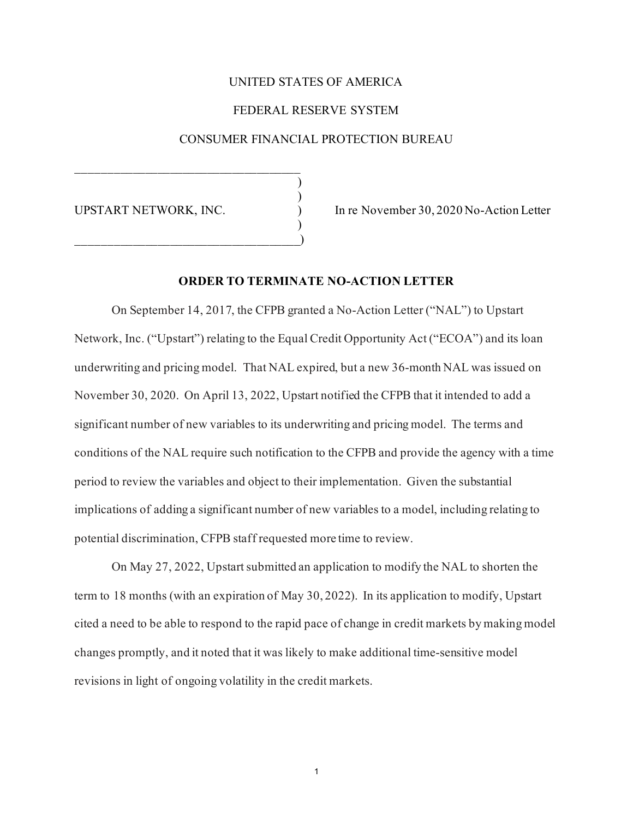## UNITED STATES OF AMERICA

### FEDERAL RESERVE SYSTEM

### CONSUMER FINANCIAL PROTECTION BUREAU

) )

)

\_\_\_\_\_\_\_\_\_\_\_\_\_\_\_\_\_\_\_\_\_\_\_\_\_\_\_\_\_\_\_\_\_\_\_\_)

UPSTART NETWORK, INC. ) In re November 30, 2020 No-Action Letter

### **ORDER TO TERMINATE NO-ACTION LETTER**

On September 14, 2017, the CFPB granted a No-Action Letter ("NAL") to Upstart Network, Inc. ("Upstart") relating to the Equal Credit Opportunity Act ("ECOA") and its loan underwriting and pricing model. That NAL expired, but a new 36-month NAL was issued on November 30, 2020. On April 13, 2022, Upstart notified the CFPB that it intended to add a significant number of new variables to its underwriting and pricing model. The terms and conditions of the NAL require such notification to the CFPB and provide the agency with a time period to review the variables and object to their implementation. Given the substantial implications of adding a significant number of new variables to a model, including relating to potential discrimination, CFPB staff requested more time to review.

On May 27, 2022, Upstart submitted an application to modify the NAL to shorten the term to 18 months (with an expiration of May 30, 2022). In its application to modify, Upstart cited a need to be able to respond to the rapid pace of change in credit markets by making model changes promptly, and it noted that it was likely to make additional time-sensitive model revisions in light of ongoing volatility in the credit markets.

1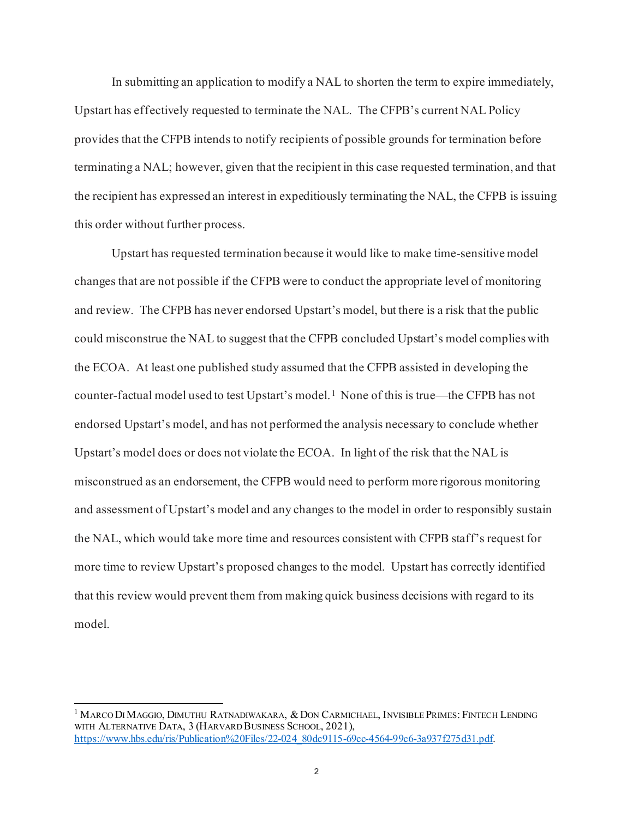In submitting an application to modify a NAL to shorten the term to expire immediately, Upstart has effectively requested to terminate the NAL. The CFPB's current NAL Policy provides that the CFPB intends to notify recipients of possible grounds for termination before terminating a NAL; however, given that the recipient in this case requested termination, and that the recipient has expressed an interest in expeditiously terminating the NAL, the CFPB is issuing this order without further process.

Upstart has requested termination because it would like to make time-sensitive model changes that are not possible if the CFPB were to conduct the appropriate level of monitoring and review. The CFPB has never endorsed Upstart's model, but there is a risk that the public could misconstrue the NAL to suggest that the CFPB concluded Upstart's model complieswith the ECOA. At least one published study assumed that the CFPB assisted in developing the counter-factual model used to test Upstart's model.<sup>1</sup> None of this is true—the CFPB has not endorsed Upstart's model, and has not performed the analysis necessary to conclude whether Upstart's model does or does not violate the ECOA. In light of the risk that the NAL is misconstrued as an endorsement, the CFPB would need to perform more rigorous monitoring and assessment of Upstart's model and any changes to the model in order to responsibly sustain the NAL, which would take more time and resources consistent with CFPB staff's request for more time to review Upstart's proposed changes to the model. Upstart has correctly identified that this review would prevent them from making quick business decisions with regard to its model.

<span id="page-1-0"></span> $^1$  Marco Di Maggio, Dimuthu Ratnadiwakara, & Don Carmichael, Invisible Primes: Fintech Lending WITH ALTERNATIVE DATA, 3 (HARVARD BUSINESS SCHOOL, 2021), [https://www.hbs.edu/ris/Publication%20Files/22-024\\_80dc9115-69cc-4564-99c6-3a937f275d31.pdf.](https://www.hbs.edu/ris/Publication%20Files/22-024_80dc9115-69cc-4564-99c6-3a937f275d31.pdf)